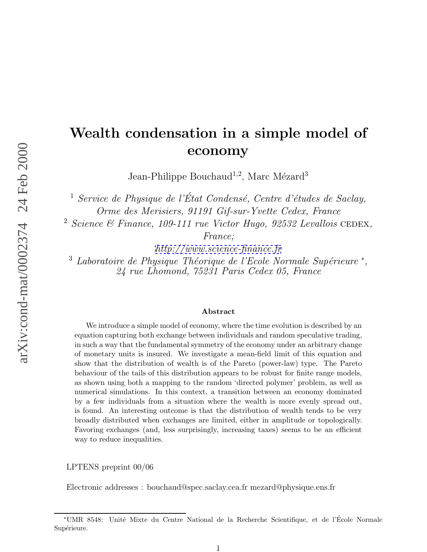## **Wealth condensation in a simple model of economy**

Jean-Philippe Bouchaud<sup>1,2</sup>, Marc Mézard<sup>3</sup>

 $\frac{1}{1}$  Service de Physique de l'État Condensé, Centre d'études de Saclay, Orme des Merisiers, 91191 Gif-sur-Yvette Cedex, France

 $2$  Science & Finance, 109-111 rue Victor Hugo, 92532 Levallois CEDEX,

France;

<http://www.science-finance.fr>

 $3$  Laboratoire de Physique Théorique de l'Ecole Normale Supérieure  $*$ , 24 rue Lhomond, 75231 Paris Cedex 05, France

## **Abstract**

We introduce a simple model of economy, where the time evolution is described by an equation capturing both exchange between individuals and random speculative trading, in such a way that the fundamental symmetry of the economy under an arbitrary change of monetary units is insured. We investigate a mean-field limit of this equation and show that the distribution of wealth is of the Pareto (power-law) type. The Pareto behaviour of the tails of this distribution appears to be robust for finite range models, as shown using both a mapping to the random 'directed polymer' problem, as well as numerical simulations. In this context, a transition between an economy dominated by a few individuals from a situation where the wealth is more evenly spread out, is found. An interesting outcome is that the distribution of wealth tends to be very broadly distributed when exchanges are limited, either in amplitude or topologically. Favoring exchanges (and, less surprisingly, increasing taxes) seems to be an efficient way to reduce inequalities.

LPTENS preprint 00/06

Electronic addresses : bouchaud@spec.saclay.cea.fr mezard@physique.ens.fr

<sup>∗</sup>UMR 8548: Unit´e Mixte du Centre National de la Recherche Scientifique, et de l'Ecole Normale ´ Supérieure.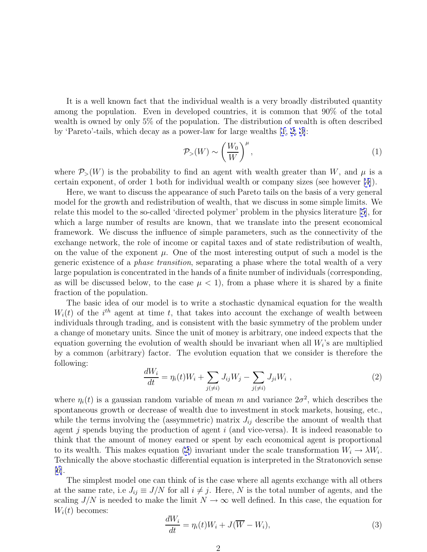<span id="page-1-0"></span>It is a well known fact that the individual wealth is a very broadly distributed quantity among the population. Even in developed countries, it is common that 90% of the total wealth is owned by only 5% of the population. The distribution of wealth is often described by 'Pareto'-tails, which decay as a power-law for large wealths [[1, 2, 3\]](#page-9-0):

$$
\mathcal{P}_{>}(W) \sim \left(\frac{W_0}{W}\right)^{\mu},\tag{1}
$$

where  $P_>(W)$  is the probability to find an agent with wealth greater than W, and  $\mu$  is a certain exponent, of order 1 both for individual wealth or company sizes (see however [\[4](#page-9-0)]).

Here, we want to discuss the appearance of such Pareto tails on the basis of a very general model for the growth and redistribution of wealth, that we discuss in some simple limits. We relate this model to the so-called 'directed polymer' problem in the physics literature [\[5\]](#page-9-0), for which a large number of results are known, that we translate into the present economical framework. We discuss the influence of simple parameters, such as the connectivity of the exchange network, the role of income or capital taxes and of state redistribution of wealth, on the value of the exponent  $\mu$ . One of the most interesting output of such a model is the generic existence of a phase transition, separating a phase where the total wealth of a very large population is concentrated in the hands of a finite number of individuals (corresponding, as will be discussed below, to the case  $\mu < 1$ , from a phase where it is shared by a finite fraction of the population.

The basic idea of our model is to write a stochastic dynamical equation for the wealth  $W_i(t)$  of the i<sup>th</sup> agent at time t, that takes into account the exchange of wealth between individuals through trading, and is consistent with the basic symmetry of the problem under a change of monetary units. Since the unit of money is arbitrary, one indeed expects that the equation governing the evolution of wealth should be invariant when all  $W_i$ 's are multiplied by a common (arbitrary) factor. The evolution equation that we consider is therefore the following:

$$
\frac{dW_i}{dt} = \eta_i(t)W_i + \sum_{j(\neq i)} J_{ij}W_j - \sum_{j(\neq i)} J_{ji}W_i , \qquad (2)
$$

where  $\eta_i(t)$  is a gaussian random variable of mean m and variance  $2\sigma^2$ , which describes the spontaneous growth or decrease of wealth due to investment in stock markets, housing, etc., while the terms involving the (assymmetric) matrix  $J_{ij}$  describe the amount of wealth that agent j spends buying the production of agent  $i$  (and vice-versa). It is indeed reasonable to think that the amount of money earned or spent by each economical agent is proportional to its wealth. This makes equation (2) invariant under the scale transformation  $W_i \to \lambda W_i$ . Technically the above stochastic differential equation is interpreted in the Stratonovich sense [\[6\]](#page-9-0).

The simplest model one can think of is the case where all agents exchange with all others at the same rate, i.e  $J_{ij} \equiv J/N$  for all  $i \neq j$ . Here, N is the total number of agents, and the scaling  $J/N$  is needed to make the limit  $N \to \infty$  well defined. In this case, the equation for  $W_i(t)$  becomes:

$$
\frac{dW_i}{dt} = \eta_i(t)W_i + J(\overline{W} - W_i),\tag{3}
$$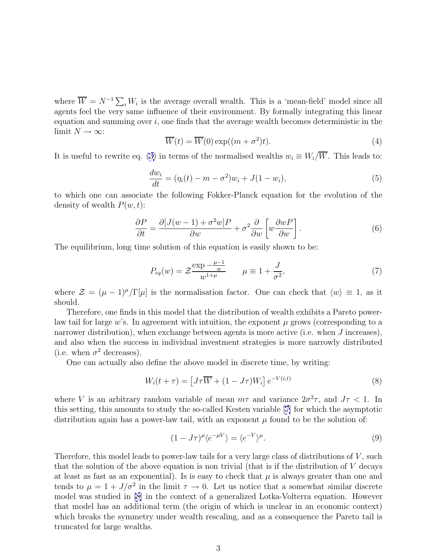<span id="page-2-0"></span>where  $\overline{W} = N^{-1} \sum_i W_i$  is the average overall wealth. This is a 'mean-field' model since all agents feel the very same influence of their environment. By formally integrating this linear equation and summing over  $i$ , one finds that the average wealth becomes deterministic in the limit  $N \to \infty$ :

$$
\overline{W}(t) = \overline{W}(0) \exp((m + \sigma^2)t). \tag{4}
$$

It is useful to rewrite eq. [\(3\)](#page-1-0) in terms of the normalised wealths  $w_i \equiv W_i/\overline{W}$ . This leads to:

$$
\frac{dw_i}{dt} = (\eta_i(t) - m - \sigma^2)w_i + J(1 - w_i),
$$
\n(5)

to which one can associate the following Fokker-Planck equation for the evolution of the density of wealth  $P(w, t)$ :

$$
\frac{\partial P}{\partial t} = \frac{\partial [J(w-1) + \sigma^2 w]P}{\partial w} + \sigma^2 \frac{\partial}{\partial w} \left[ w \frac{\partial wP}{\partial w} \right].
$$
\n(6)

The equilibrium, long time solution of this equation is easily shown to be:

$$
P_{eq}(w) = \mathcal{Z} \frac{\exp(-\frac{\mu - 1}{w})}{w^{1 + \mu}} \qquad \mu \equiv 1 + \frac{J}{\sigma^2},
$$
 (7)

where  $\mathcal{Z} = (\mu - 1)^{\mu}/\Gamma[\mu]$  is the normalisation factor. One can check that  $\langle w \rangle \equiv 1$ , as it should.

Therefore, one finds in this model that the distribution of wealth exhibits a Pareto powerlaw tail for large w's. In agreement with intuition, the exponent  $\mu$  grows (corresponding to a narrower distribution), when exchange between agents is more active (i.e. when J increases), and also when the success in individual investment strategies is more narrowly distributed (i.e. when  $\sigma^2$  decreases).

One can actually also define the above model in discrete time, by writing:

$$
W_i(t+\tau) = \left[J\tau \overline{W} + (1 - J\tau)W_i\right]e^{-V(i,t)}\tag{8}
$$

where V is an arbitrary random variable of mean  $m\tau$  and variance  $2\sigma^2\tau$ , and  $J\tau$  < 1. In this setting, this amounts to study the so-called Kesten variable [[7\]](#page-9-0) for which the asymptotic distribution again has a power-law tail, with an exponent  $\mu$  found to be the solution of:

$$
(1 - J\tau)^{\mu} \langle e^{-\mu V} \rangle = \langle e^{-V} \rangle^{\mu}.
$$
\n(9)

Therefore, this model leads to power-law tails for a very large class of distributions of  $V$ , such that the solution of the above equation is non trivial (that is if the distribution of V decays at least as fast as an exponential). Is is easy to check that  $\mu$  is always greater than one and tends to  $\mu = 1 + J/\sigma^2$  in the limit  $\tau \to 0$ . Let us notice that a somewhat similar discrete model was studied in [\[8](#page-9-0)] in the context of a generalized Lotka-Volterra equation. However that model has an additional term (the origin of which is unclear in an economic context) which breaks the symmetry under wealth rescaling, and as a consequence the Pareto tail is truncated for large wealths.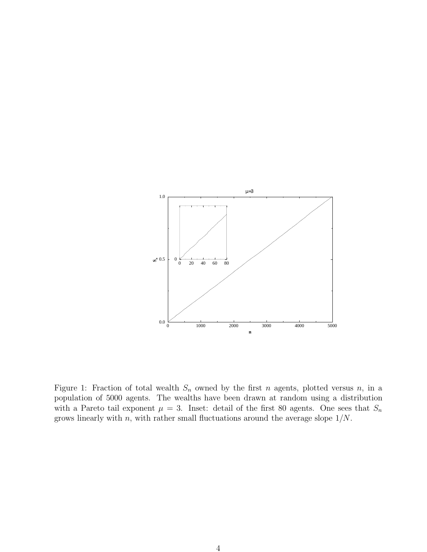

Figure 1: Fraction of total wealth  $S_n$  owned by the first n agents, plotted versus n, in a population of 5000 agents. The wealths have been drawn at random using a distribution with a Pareto tail exponent  $\mu = 3$ . Inset: detail of the first 80 agents. One sees that  $S_n$ grows linearly with  $n$ , with rather small fluctuations around the average slope  $1/N$ .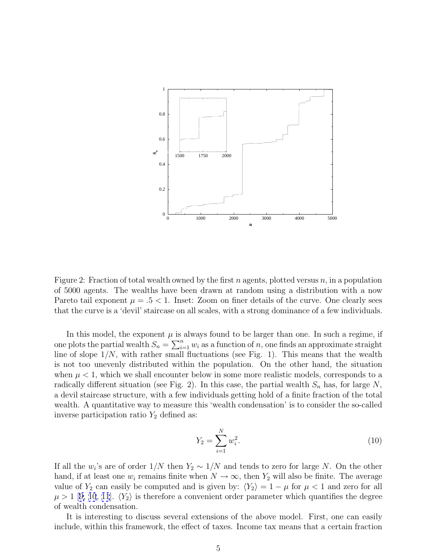

Figure 2: Fraction of total wealth owned by the first n agents, plotted versus  $n$ , in a population of 5000 agents. The wealths have been drawn at random using a distribution with a now Pareto tail exponent  $\mu = .5 < 1$ . Inset: Zoom on finer details of the curve. One clearly sees that the curve is a 'devil' staircase on all scales, with a strong dominance of a few individuals.

In this model, the exponent  $\mu$  is always found to be larger than one. In such a regime, if one plots the partial wealth  $S_n = \sum_{i=1}^n w_i$  as a function of n, one finds an approximate straight line of slope  $1/N$ , with rather small fluctuations (see Fig. 1). This means that the wealth is not too unevenly distributed within the population. On the other hand, the situation when  $\mu < 1$ , which we shall encounter below in some more realistic models, corresponds to a radically different situation (see Fig. 2). In this case, the partial wealth  $S_n$  has, for large N, a devil staircase structure, with a few individuals getting hold of a finite fraction of the total wealth. A quantitative way to measure this 'wealth condensation' is to consider the so-called inverse participation ratio  $Y_2$  defined as:

$$
Y_2 = \sum_{i=1}^{N} w_i^2.
$$
 (10)

If all the w<sub>i</sub>'s are of order  $1/N$  then  $Y_2 \sim 1/N$  and tends to zero for large N. On the other hand, if at least one  $w_i$  remains finite when  $N \to \infty$ , then  $Y_2$  will also be finite. The average value of  $Y_2$  can easily be computed and is given by:  $\langle Y_2 \rangle = 1 - \mu$  for  $\mu < 1$  and zero for all  $\mu > 1$  [[9, 10](#page-9-0), [11](#page-9-0)].  $\langle Y_2 \rangle$  is therefore a convenient order parameter which quantifies the degree of wealth condensation.

It is interesting to discuss several extensions of the above model. First, one can easily include, within this framework, the effect of taxes. Income tax means that a certain fraction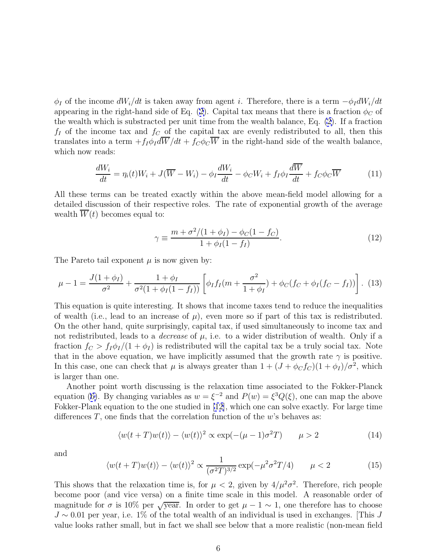$\phi_I$  of the income  $dW_i/dt$  is taken away from agent i. Therefore, there is a term  $-\phi_I dW_i/dt$ appearing in the right-hand side of Eq. [\(2\)](#page-1-0). Capital tax means that there is a fraction  $\phi_C$  of the wealth which is substracted per unit time from the wealth balance, Eq. [\(2](#page-1-0)). If a fraction  $f_I$  of the income tax and  $f_C$  of the capital tax are evenly redistributed to all, then this translates into a term  $+f_I\phi_I d\overline{W}/dt + f_C\phi_C \overline{W}$  in the right-hand side of the wealth balance, which now reads:

$$
\frac{dW_i}{dt} = \eta_i(t)W_i + J(\overline{W} - W_i) - \phi_I \frac{dW_i}{dt} - \phi_C W_i + f_I \phi_I \frac{d\overline{W}}{dt} + f_C \phi_C \overline{W}
$$
(11)

All these terms can be treated exactly within the above mean-field model allowing for a detailed discussion of their respective roles. The rate of exponential growth of the average wealth  $\overline{W}(t)$  becomes equal to:

$$
\gamma \equiv \frac{m + \sigma^2/(1 + \phi_I) - \phi_C(1 - f_C)}{1 + \phi_I(1 - f_I)}.
$$
\n(12)

The Pareto tail exponent  $\mu$  is now given by:

$$
\mu - 1 = \frac{J(1 + \phi_I)}{\sigma^2} + \frac{1 + \phi_I}{\sigma^2 (1 + \phi_I (1 - f_I))} \left[ \phi_I f_I (m + \frac{\sigma^2}{1 + \phi_I}) + \phi_C (f_C + \phi_I (f_C - f_I)) \right]. \tag{13}
$$

This equation is quite interesting. It shows that income taxes tend to reduce the inequalities of wealth (i.e., lead to an increase of  $\mu$ ), even more so if part of this tax is redistributed. On the other hand, quite surprisingly, capital tax, if used simultaneously to income tax and not redistributed, leads to a *decrease* of  $\mu$ , i.e. to a wider distribution of wealth. Only if a fraction  $f_C > f_I \phi_I/(1 + \phi_I)$  is redistributed will the capital tax be a truly social tax. Note that in the above equation, we have implicitly assumed that the growth rate  $\gamma$  is positive. In this case, one can check that  $\mu$  is always greater than  $1 + (J + \phi_C f_C)(1 + \phi_I)/\sigma^2$ , which is larger than one.

Another point worth discussing is the relaxation time associated to the Fokker-Planck equation ([6\)](#page-2-0). By changing variables as  $w = \xi^{-2}$  and  $P(w) = \xi^3 Q(\xi)$ , one can map the above Fokker-Plank equation to the one studied in [\[12\]](#page-9-0), which one can solve exactly. For large time differences  $T$ , one finds that the correlation function of the w's behaves as:

$$
\langle w(t+T)w(t)\rangle - \langle w(t)\rangle^2 \propto \exp(-(\mu-1)\sigma^2 T) \qquad \mu > 2
$$
 (14)

and

$$
\langle w(t+T)w(t)\rangle - \langle w(t)\rangle^2 \propto \frac{1}{(\sigma^2 T)^{3/2}} \exp(-\mu^2 \sigma^2 T/4) \qquad \mu < 2
$$
 (15)

This shows that the relaxation time is, for  $\mu < 2$ , given by  $4/\mu^2 \sigma^2$ . Therefore, rich people become poor (and vice versa) on a finite time scale in this model. A reasonable order of magnitude for  $\sigma$  is 10% per  $\sqrt{year}$ . In order to get  $\mu - 1 \sim 1$ , one therefore has to choose  $J \sim 0.01$  per year, i.e. 1% of the total wealth of an individual is used in exchanges. [This J value looks rather small, but in fact we shall see below that a more realistic (non-mean field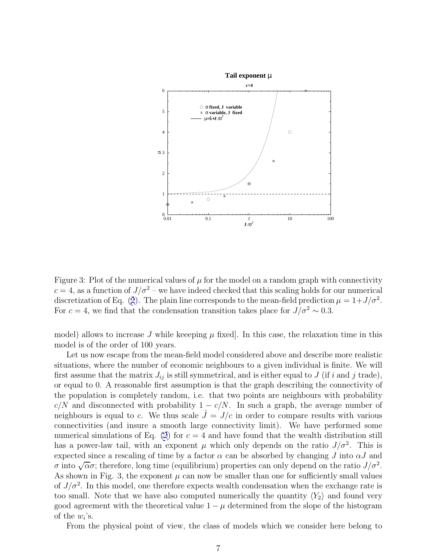

Figure 3: Plot of the numerical values of  $\mu$  for the model on a random graph with connectivity  $c = 4$ , as a function of  $J/\sigma^2$  – we have indeed checked that this scaling holds for our numerical discretization of Eq. ([2](#page-1-0)). The plain line corresponds to the mean-field prediction  $\mu = 1 + J/\sigma^2$ . For  $c = 4$ , we find that the condensation transition takes place for  $J/\sigma^2 \sim 0.3$ .

model) allows to increase J while keeeping  $\mu$  fixed. In this case, the relaxation time in this model is of the order of 100 years.

Let us now escape from the mean-field model considered above and describe more realistic situations, where the number of economic neighbours to a given individual is finite. We will first assume that the matrix  $J_{ij}$  is still symmetrical, and is either equal to J (if i and j trade), or equal to 0. A reasonable first assumption is that the graph describing the connectivity of the population is completely random, i.e. that two points are neighbours with probability  $c/N$  and disconnected with probability  $1 - c/N$ . In such a graph, the average number of neighbours is equal to c. We thus scale  $\hat{J} = J/c$  in order to compare results with various connectivities (and insure a smooth large connectivity limit). We have performed some numerical simulations of Eq. [\(2](#page-1-0)) for  $c = 4$  and have found that the wealth distribution still has a power-law tail, with an exponent  $\mu$  which only depends on the ratio  $J/\sigma^2$ . This is expected since a rescaling of time by a factor  $\alpha$  can be absorbed by changing J into  $\alpha J$  and  $\sigma$  into  $\sqrt{\alpha}\sigma$ ; therefore, long time (equilibrium) properties can only depend on the ratio  $J/\sigma^2$ . As shown in Fig. 3, the exponent  $\mu$  can now be smaller than one for sufficiently small values of  $J/\sigma^2$ . In this model, one therefore expects wealth condensation when the exchange rate is too small. Note that we have also computed numerically the quantity  $\langle Y_2 \rangle$  and found very good agreement with the theoretical value  $1 - \mu$  determined from the slope of the histogram of the  $w_i$ 's.

From the physical point of view, the class of models which we consider here belong to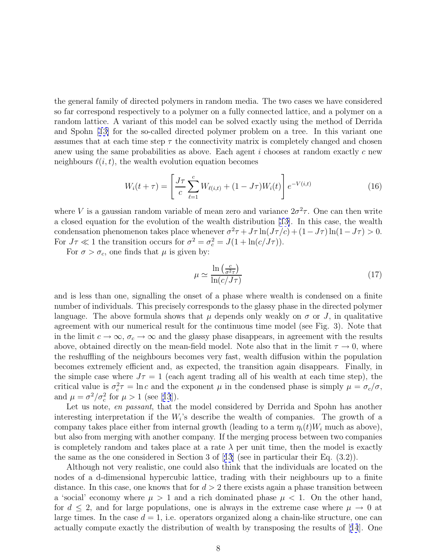the general family of directed polymers in random media. The two cases we have considered so far correspond respectively to a polymer on a fully connected lattice, and a polymer on a random lattice. A variant of this model can be solved exactly using the method of Derrida and Spohn [\[13\]](#page-9-0) for the so-called directed polymer problem on a tree. In this variant one assumes that at each time step  $\tau$  the connectivity matrix is completely changed and chosen anew using the same probabilities as above. Each agent  $i$  chooses at random exactly  $c$  new neighbours  $\ell(i, t)$ , the wealth evolution equation becomes

$$
W_i(t+\tau) = \left[\frac{J\tau}{c} \sum_{\ell=1}^c W_{\ell(i,t)} + (1 - J\tau) W_i(t)\right] e^{-V(i,t)}
$$
(16)

where V is a gaussian random variable of mean zero and variance  $2\sigma^2 \tau$ . One can then write a closed equation for the evolution of the wealth distribution [[13\]](#page-9-0). In this case, the wealth condensation phenomenon takes place whenever  $\sigma^2 \tau + J\tau \ln(J\tau/c) + (1-J\tau) \ln(1-J\tau) > 0$ . For  $J\tau \ll 1$  the transition occurs for  $\sigma^2 = \sigma_c^2 = J(1 + \ln(c/J\tau)).$ 

For  $\sigma > \sigma_c$ , one finds that  $\mu$  is given by:

$$
\mu \simeq \frac{\ln\left(\frac{c}{\sigma^2 \tau}\right)}{\ln(c/J\tau)}\tag{17}
$$

and is less than one, signalling the onset of a phase where wealth is condensed on a finite number of individuals. This precisely corresponds to the glassy phase in the directed polymer language. The above formula shows that  $\mu$  depends only weakly on  $\sigma$  or J, in qualitative agreement with our numerical result for the continuous time model (see Fig. 3). Note that in the limit  $c \to \infty$ ,  $\sigma_c \to \infty$  and the glassy phase disappears, in agreement with the results above, obtained directly on the mean-field model. Note also that in the limit  $\tau \to 0$ , where the reshuffling of the neighbours becomes very fast, wealth diffusion within the population becomes extremely efficient and, as expected, the transition again disappears. Finally, in the simple case where  $J\tau = 1$  (each agent trading all of his wealth at each time step), the critical value is  $\sigma_c^2 \tau = \ln c$  and the exponent  $\mu$  in the condensed phase is simply  $\mu = \sigma_c/\sigma$ , and  $\mu = \sigma^2/\sigma_c^2$  for  $\mu > 1$  (see [[13](#page-9-0)]).

Let us note, en passant, that the model considered by Derrida and Spohn has another interesting interpretation if the  $W_i$ 's describe the wealth of companies. The growth of a company takes place either from internal growth (leading to a term  $\eta_i(t)W_i$  much as above), but also from merging with another company. If the merging process between two companies is completely random and takes place at a rate  $\lambda$  per unit time, then the model is exactly the same as the one considered in Section 3 of [[13](#page-9-0)] (see in particular their Eq. (3.2)).

Although not very realistic, one could also think that the individuals are located on the nodes of a d-dimensional hypercubic lattice, trading with their neighbours up to a finite distance. In this case, one knows that for  $d > 2$  there exists again a phase transition between a 'social' economy where  $\mu > 1$  and a rich dominated phase  $\mu < 1$ . On the other hand, for  $d \leq 2$ , and for large populations, one is always in the extreme case where  $\mu \to 0$  at large times. In the case  $d = 1$ , i.e. operators organized along a chain-like structure, one can actually compute exactly the distribution of wealth by transposing the results of [[14](#page-10-0)]. One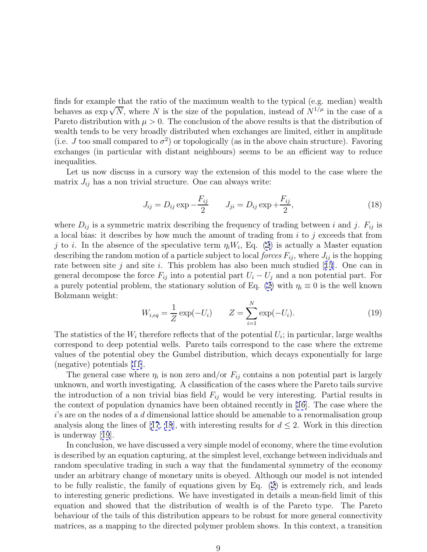finds for example that the ratio of the maximum wealth to the typical (e.g. median) wealth behaves as  $\exp{\sqrt{N}}$ , where N is the size of the population, instead of  $N^{1/\mu}$  in the case of a Pareto distribution with  $\mu > 0$ . The conclusion of the above results is that the distribution of wealth tends to be very broadly distributed when exchanges are limited, either in amplitude (i.e. J too small compared to  $\sigma^2$ ) or topologically (as in the above chain structure). Favoring exchanges (in particular with distant neighbours) seems to be an efficient way to reduce inequalities.

Let us now discuss in a cursory way the extension of this model to the case where the matrix  $J_{ij}$  has a non trivial structure. One can always write:

$$
J_{ij} = D_{ij} \exp{-\frac{F_{ij}}{2}} \qquad J_{ji} = D_{ij} \exp{+\frac{F_{ij}}{2}},
$$
\n(18)

where  $D_{ij}$  is a symmetric matrix describing the frequency of trading between i and j.  $F_{ij}$  is a local bias: it describes by how much the amount of trading from  $i$  to  $j$  exceeds that from j to i. In the absence of the speculative term  $\eta_i W_i$ , Eq. [\(2](#page-1-0)) is actually a Master equation describing the random motion of a particle subject to local *forces*  $F_{ij}$ , where  $J_{ij}$  is the hopping rate between site j and site i. This problem has also been much studied [[15](#page-10-0)]. One can in general decompose the force  $F_{ij}$  into a potential part  $U_i - U_j$  and a non potential part. For a purely potential problem, the stationary solution of Eq. [\(2\)](#page-1-0) with  $\eta_i \equiv 0$  is the well known Bolzmann weight:

$$
W_{i,eq} = \frac{1}{Z} \exp(-U_i) \qquad Z = \sum_{i=1}^{N} \exp(-U_i).
$$
 (19)

The statistics of the  $W_i$  therefore reflects that of the potential  $U_i$ ; in particular, large wealths correspond to deep potential wells. Pareto tails correspond to the case where the extreme values of the potential obey the Gumbel distribution, which decays exponentially for large (negative) potentials [\[11\]](#page-9-0).

The general case where  $\eta_i$  is non zero and/or  $F_{ij}$  contains a non potential part is largely unknown, and worth investigating. A classification of the cases where the Pareto tails survive the introduction of a non trivial bias field  $F_{ij}$  would be very interesting. Partial results in the context of population dynamics have been obtained recently in [\[16](#page-10-0)]. The case where the  $i$ 's are on the nodes of a d dimensional lattice should be amenable to a renormalisation group analysis along the lines of [[17](#page-10-0), [18](#page-10-0)], with interesting results for  $d \leq 2$ . Work in this direction is underway [[19](#page-10-0)].

In conclusion, we have discussed a very simple model of economy, where the time evolution is described by an equation capturing, at the simplest level, exchange between individuals and random speculative trading in such a way that the fundamental symmetry of the economy under an arbitrary change of monetary units is obeyed. Although our model is not intended to be fully realistic, the family of equations given by Eq. [\(2\)](#page-1-0) is extremely rich, and leads to interesting generic predictions. We have investigated in details a mean-field limit of this equation and showed that the distribution of wealth is of the Pareto type. The Pareto behaviour of the tails of this distribution appears to be robust for more general connectivity matrices, as a mapping to the directed polymer problem shows. In this context, a transition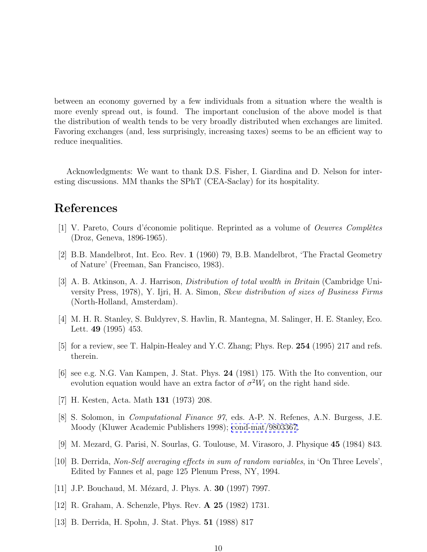<span id="page-9-0"></span>between an economy governed by a few individuals from a situation where the wealth is more evenly spread out, is found. The important conclusion of the above model is that the distribution of wealth tends to be very broadly distributed when exchanges are limited. Favoring exchanges (and, less surprisingly, increasing taxes) seems to be an efficient way to reduce inequalities.

Acknowledgments: We want to thank D.S. Fisher, I. Giardina and D. Nelson for interesting discussions. MM thanks the SPhT (CEA-Saclay) for its hospitality.

## **References**

- $[1]$  V. Pareto, Cours d'économie politique. Reprinted as a volume of *Oeuvres Complètes* (Droz, Geneva, 1896-1965).
- [2] B.B. Mandelbrot, Int. Eco. Rev. **1** (1960) 79, B.B. Mandelbrot, 'The Fractal Geometry of Nature' (Freeman, San Francisco, 1983).
- [3] A. B. Atkinson, A. J. Harrison, Distribution of total wealth in Britain (Cambridge University Press, 1978), Y. Ijri, H. A. Simon, Skew distribution of sizes of Business Firms (North-Holland, Amsterdam).
- [4] M. H. R. Stanley, S. Buldyrev, S. Havlin, R. Mantegna, M. Salinger, H. E. Stanley, Eco. Lett. **49** (1995) 453.
- [5] for a review, see T. Halpin-Healey and Y.C. Zhang; Phys. Rep. **254** (1995) 217 and refs. therein.
- [6] see e.g. N.G. Van Kampen, J. Stat. Phys. **24** (1981) 175. With the Ito convention, our evolution equation would have an extra factor of  $\sigma^2 W_i$  on the right hand side.
- [7] H. Kesten, Acta. Math **131** (1973) 208.
- [8] S. Solomon, in Computational Finance 97, eds. A-P. N. Refenes, A.N. Burgess, J.E. Moody (Kluwer Academic Publishers 1998); [cond-mat/9803367](http://xxx.lanl.gov/abs/cond-mat/9803367).
- [9] M. Mezard, G. Parisi, N. Sourlas, G. Toulouse, M. Virasoro, J. Physique **45** (1984) 843.
- [10] B. Derrida, Non-Self averaging effects in sum of random variables, in 'On Three Levels', Edited by Fannes et al, page 125 Plenum Press, NY, 1994.
- [11] J.P. Bouchaud, M. Mézard, J. Phys. A. **30** (1997) 7997.
- [12] R. Graham, A. Schenzle, Phys. Rev. **A 25** (1982) 1731.
- [13] B. Derrida, H. Spohn, J. Stat. Phys. **51** (1988) 817